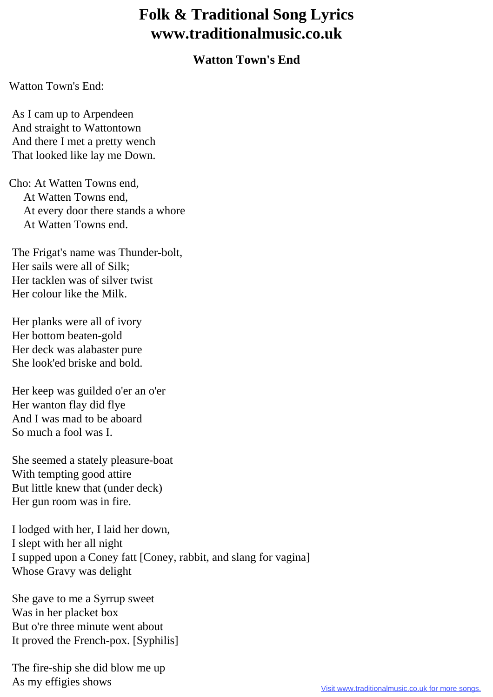## **Folk & Traditional Song Lyrics www.traditionalmusic.co.uk**

## **Watton Town's End**

Watton Town's End:

 As I cam up to Arpendeen And straight to Wattontown And there I met a pretty wench That looked like lay me Down.

Cho: At Watten Towns end, At Watten Towns end, At every door there stands a whore At Watten Towns end.

 The Frigat's name was Thunder-bolt, Her sails were all of Silk; Her tacklen was of silver twist Her colour like the Milk.

 Her planks were all of ivory Her bottom beaten-gold Her deck was alabaster pure She look'ed briske and bold.

 Her keep was guilded o'er an o'er Her wanton flay did flye And I was mad to be aboard So much a fool was I.

 She seemed a stately pleasure-boat With tempting good attire But little knew that (under deck) Her gun room was in fire.

 I lodged with her, I laid her down, I slept with her all night I supped upon a Coney fatt [Coney, rabbit, and slang for vagina] Whose Gravy was delight

 She gave to me a Syrrup sweet Was in her placket box But o're three minute went about It proved the French-pox. [Syphilis]

 The fire-ship she did blow me up As my effigies shows